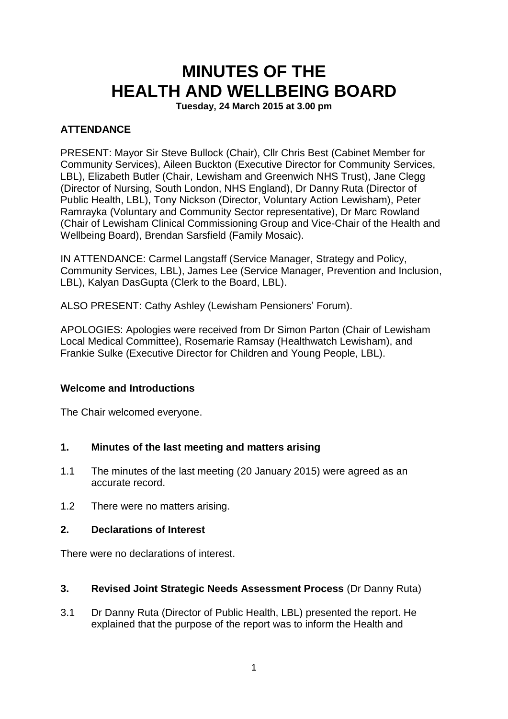# **MINUTES OF THE HEALTH AND WELLBEING BOARD**

**Tuesday, 24 March 2015 at 3.00 pm**

# **ATTENDANCE**

PRESENT: Mayor Sir Steve Bullock (Chair), Cllr Chris Best (Cabinet Member for Community Services), Aileen Buckton (Executive Director for Community Services, LBL), Elizabeth Butler (Chair, Lewisham and Greenwich NHS Trust), Jane Clegg (Director of Nursing, South London, NHS England), Dr Danny Ruta (Director of Public Health, LBL), Tony Nickson (Director, Voluntary Action Lewisham), Peter Ramrayka (Voluntary and Community Sector representative), Dr Marc Rowland (Chair of Lewisham Clinical Commissioning Group and Vice-Chair of the Health and Wellbeing Board), Brendan Sarsfield (Family Mosaic).

IN ATTENDANCE: Carmel Langstaff (Service Manager, Strategy and Policy, Community Services, LBL), James Lee (Service Manager, Prevention and Inclusion, LBL), Kalyan DasGupta (Clerk to the Board, LBL).

ALSO PRESENT: Cathy Ashley (Lewisham Pensioners' Forum).

APOLOGIES: Apologies were received from Dr Simon Parton (Chair of Lewisham Local Medical Committee), Rosemarie Ramsay (Healthwatch Lewisham), and Frankie Sulke (Executive Director for Children and Young People, LBL).

## **Welcome and Introductions**

The Chair welcomed everyone.

## **1. Minutes of the last meeting and matters arising**

- 1.1 The minutes of the last meeting (20 January 2015) were agreed as an accurate record.
- 1.2 There were no matters arising.

#### **2. Declarations of Interest**

There were no declarations of interest.

#### **3. Revised Joint Strategic Needs Assessment Process** (Dr Danny Ruta)

3.1 Dr Danny Ruta (Director of Public Health, LBL) presented the report. He explained that the purpose of the report was to inform the Health and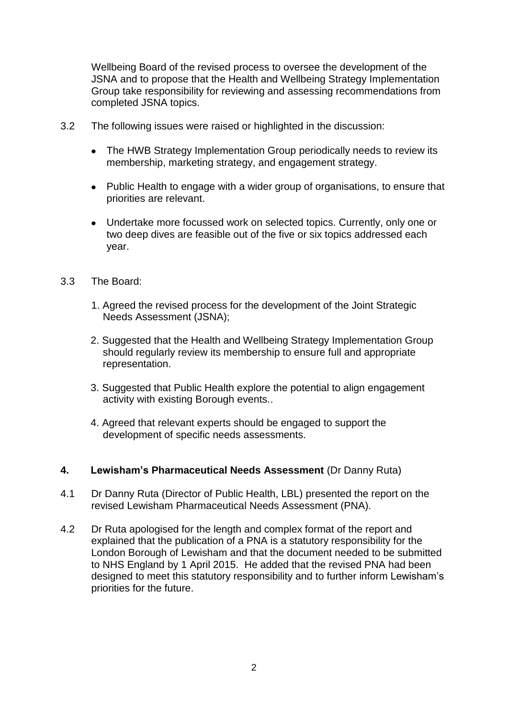Wellbeing Board of the revised process to oversee the development of the JSNA and to propose that the Health and Wellbeing Strategy Implementation Group take responsibility for reviewing and assessing recommendations from completed JSNA topics.

- 3.2 The following issues were raised or highlighted in the discussion:
	- The HWB Strategy Implementation Group periodically needs to review its membership, marketing strategy, and engagement strategy.
	- Public Health to engage with a wider group of organisations, to ensure that priorities are relevant.
	- Undertake more focussed work on selected topics. Currently, only one or two deep dives are feasible out of the five or six topics addressed each year.
- 3.3 The Board:
	- 1. Agreed the revised process for the development of the Joint Strategic Needs Assessment (JSNA);
	- 2. Suggested that the Health and Wellbeing Strategy Implementation Group should regularly review its membership to ensure full and appropriate representation.
	- 3. Suggested that Public Health explore the potential to align engagement activity with existing Borough events..
	- 4. Agreed that relevant experts should be engaged to support the development of specific needs assessments.
- **4. Lewisham's Pharmaceutical Needs Assessment** (Dr Danny Ruta)
- 4.1 Dr Danny Ruta (Director of Public Health, LBL) presented the report on the revised Lewisham Pharmaceutical Needs Assessment (PNA).
- 4.2 Dr Ruta apologised for the length and complex format of the report and explained that the publication of a PNA is a statutory responsibility for the London Borough of Lewisham and that the document needed to be submitted to NHS England by 1 April 2015. He added that the revised PNA had been designed to meet this statutory responsibility and to further inform Lewisham's priorities for the future.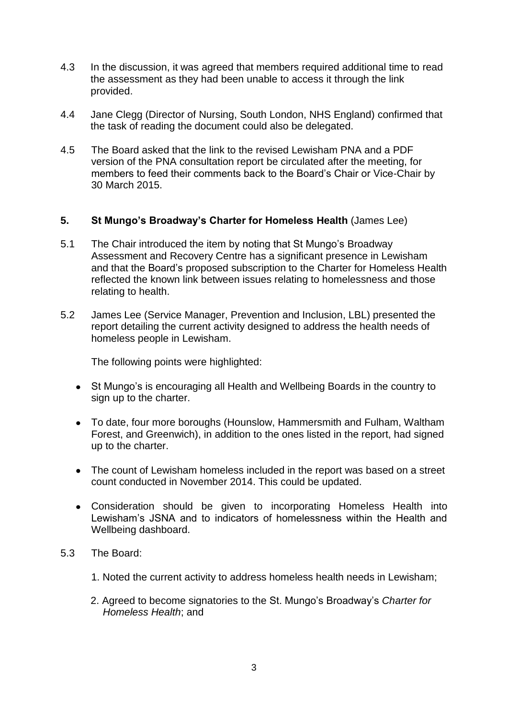- 4.3 In the discussion, it was agreed that members required additional time to read the assessment as they had been unable to access it through the link provided.
- 4.4 Jane Clegg (Director of Nursing, South London, NHS England) confirmed that the task of reading the document could also be delegated.
- 4.5 The Board asked that the link to the revised Lewisham PNA and a PDF version of the PNA consultation report be circulated after the meeting, for members to feed their comments back to the Board's Chair or Vice-Chair by 30 March 2015.

# **5. St Mungo's Broadway's Charter for Homeless Health** (James Lee)

- 5.1 The Chair introduced the item by noting that St Mungo's Broadway Assessment and Recovery Centre has a significant presence in Lewisham and that the Board's proposed subscription to the Charter for Homeless Health reflected the known link between issues relating to homelessness and those relating to health.
- 5.2 James Lee (Service Manager, Prevention and Inclusion, LBL) presented the report detailing the current activity designed to address the health needs of homeless people in Lewisham.

The following points were highlighted:

- St Mungo's is encouraging all Health and Wellbeing Boards in the country to sign up to the charter.
- To date, four more boroughs (Hounslow, Hammersmith and Fulham, Waltham Forest, and Greenwich), in addition to the ones listed in the report, had signed up to the charter.
- The count of Lewisham homeless included in the report was based on a street count conducted in November 2014. This could be updated.
- Consideration should be given to incorporating Homeless Health into Lewisham's JSNA and to indicators of homelessness within the Health and Wellbeing dashboard.
- 5.3 The Board:
	- 1. Noted the current activity to address homeless health needs in Lewisham;
	- 2. Agreed to become signatories to the St. Mungo's Broadway's *Charter for Homeless Health*; and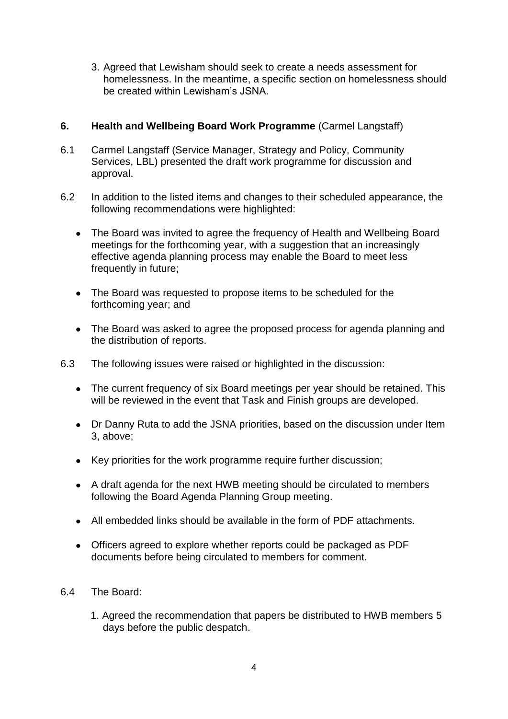3. Agreed that Lewisham should seek to create a needs assessment for homelessness. In the meantime, a specific section on homelessness should be created within Lewisham's JSNA.

# **6. Health and Wellbeing Board Work Programme** (Carmel Langstaff)

- 6.1 Carmel Langstaff (Service Manager, Strategy and Policy, Community Services, LBL) presented the draft work programme for discussion and approval.
- 6.2 In addition to the listed items and changes to their scheduled appearance, the following recommendations were highlighted:
	- The Board was invited to agree the frequency of Health and Wellbeing Board meetings for the forthcoming year, with a suggestion that an increasingly effective agenda planning process may enable the Board to meet less frequently in future;
	- The Board was requested to propose items to be scheduled for the forthcoming year; and
	- The Board was asked to agree the proposed process for agenda planning and the distribution of reports.
- 6.3 The following issues were raised or highlighted in the discussion:
	- The current frequency of six Board meetings per year should be retained. This will be reviewed in the event that Task and Finish groups are developed.
	- Dr Danny Ruta to add the JSNA priorities, based on the discussion under Item 3, above;
	- Key priorities for the work programme require further discussion;
	- A draft agenda for the next HWB meeting should be circulated to members following the Board Agenda Planning Group meeting.
	- All embedded links should be available in the form of PDF attachments.
	- Officers agreed to explore whether reports could be packaged as PDF documents before being circulated to members for comment.

## 6.4 The Board:

1. Agreed the recommendation that papers be distributed to HWB members 5 days before the public despatch.